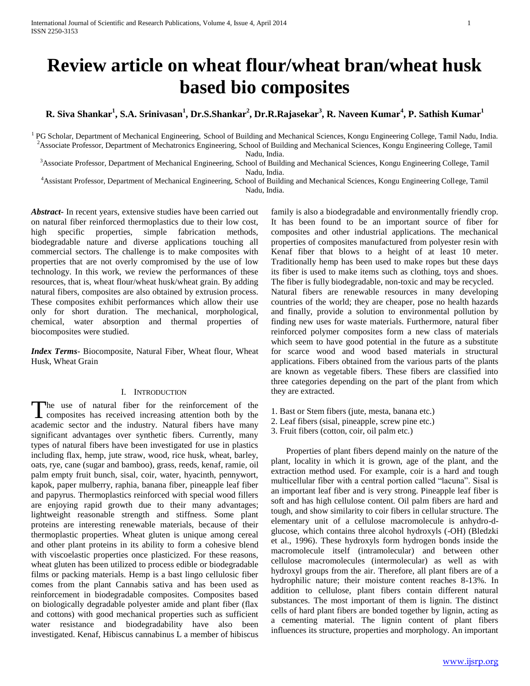# **Review article on wheat flour/wheat bran/wheat husk based bio composites**

**R. Siva Shankar<sup>1</sup> , S.A. Srinivasan<sup>1</sup> , Dr.S.Shankar<sup>2</sup> , Dr.R.Rajasekar<sup>3</sup> , R. Naveen Kumar<sup>4</sup> , P. Sathish Kumar<sup>1</sup>**

<sup>1</sup> PG Scholar, Department of Mechanical Engineering, School of Building and Mechanical Sciences, Kongu Engineering College, Tamil Nadu, India. <sup>2</sup>Associate Professor, Department of Mechatronics Engineering, School of Building and Mechanical Sciences, Kongu Engineering College, Tamil Nadu, India.

<sup>3</sup>Associate Professor, Department of Mechanical Engineering, School of Building and Mechanical Sciences, Kongu Engineering College, Tamil Nadu, India.

<sup>4</sup>Assistant Professor, Department of Mechanical Engineering, School of Building and Mechanical Sciences, Kongu Engineering College, Tamil Nadu, India.

*Abstract***-** In recent years, extensive studies have been carried out on natural fiber reinforced thermoplastics due to their low cost, high specific properties, simple fabrication methods, biodegradable nature and diverse applications touching all commercial sectors. The challenge is to make composites with properties that are not overly compromised by the use of low technology. In this work, we review the performances of these resources, that is, wheat flour/wheat husk/wheat grain. By adding natural fibers, composites are also obtained by extrusion process. These composites exhibit performances which allow their use only for short duration. The mechanical, morphological, chemical, water absorption and thermal properties of biocomposites were studied.

*Index Terms*- Biocomposite, Natural Fiber, Wheat flour, Wheat Husk, Wheat Grain

#### I. INTRODUCTION

The use of natural fiber for the reinforcement of the The use of natural fiber for the reinforcement of the composites has received increasing attention both by the academic sector and the industry. Natural fibers have many significant advantages over synthetic fibers. Currently, many types of natural fibers have been investigated for use in plastics including flax, hemp, jute straw, wood, rice husk, wheat, barley, oats, rye, cane (sugar and bamboo), grass, reeds, kenaf, ramie, oil palm empty fruit bunch, sisal, coir, water, hyacinth, pennywort, kapok, paper mulberry, raphia, banana fiber, pineapple leaf fiber and papyrus. Thermoplastics reinforced with special wood fillers are enjoying rapid growth due to their many advantages; lightweight reasonable strength and stiffness. Some plant proteins are interesting renewable materials, because of their thermoplastic properties. Wheat gluten is unique among cereal and other plant proteins in its ability to form a cohesive blend with viscoelastic properties once plasticized. For these reasons, wheat gluten has been utilized to process edible or biodegradable films or packing materials. Hemp is a bast lingo cellulosic fiber comes from the plant Cannabis sativa and has been used as reinforcement in biodegradable composites. Composites based on biologically degradable polyester amide and plant fiber (flax and cottons) with good mechanical properties such as sufficient water resistance and biodegradability have also been investigated. Kenaf, Hibiscus cannabinus L a member of hibiscus

family is also a biodegradable and environmentally friendly crop. It has been found to be an important source of fiber for composites and other industrial applications. The mechanical properties of composites manufactured from polyester resin with Kenaf fiber that blows to a height of at least 10 meter. Traditionally hemp has been used to make ropes but these days its fiber is used to make items such as clothing, toys and shoes. The fiber is fully biodegradable, non-toxic and may be recycled. Natural fibers are renewable resources in many developing countries of the world; they are cheaper, pose no health hazards and finally, provide a solution to environmental pollution by finding new uses for waste materials. Furthermore, natural fiber reinforced polymer composites form a new class of materials which seem to have good potential in the future as a substitute for scarce wood and wood based materials in structural applications. Fibers obtained from the various parts of the plants are known as vegetable fibers. These fibers are classified into three categories depending on the part of the plant from which they are extracted.

- 1. Bast or Stem fibers (jute, mesta, banana etc.)
- 2. Leaf fibers (sisal, pineapple, screw pine etc.)
- 3. Fruit fibers (cotton, coir, oil palm etc.)

 Properties of plant fibers depend mainly on the nature of the plant, locality in which it is grown, age of the plant, and the extraction method used. For example, coir is a hard and tough multicellular fiber with a central portion called "lacuna". Sisal is an important leaf fiber and is very strong. Pineapple leaf fiber is soft and has high cellulose content. Oil palm fibers are hard and tough, and show similarity to coir fibers in cellular structure. The elementary unit of a cellulose macromolecule is anhydro-dglucose, which contains three alcohol hydroxyls (-OH) (Bledzki et al., 1996). These hydroxyls form hydrogen bonds inside the macromolecule itself (intramolecular) and between other cellulose macromolecules (intermolecular) as well as with hydroxyl groups from the air. Therefore, all plant fibers are of a hydrophilic nature; their moisture content reaches 8-13%. In addition to cellulose, plant fibers contain different natural substances. The most important of them is lignin. The distinct cells of hard plant fibers are bonded together by lignin, acting as a cementing material. The lignin content of plant fibers influences its structure, properties and morphology. An important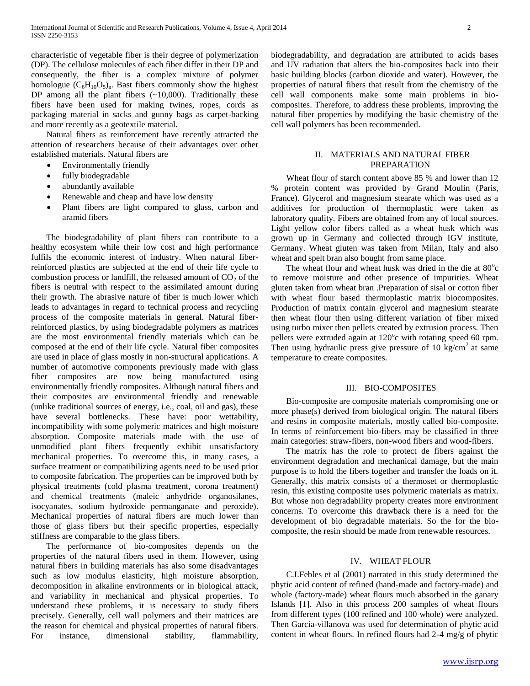characteristic of vegetable fiber is their degree of polymerization (DP). The cellulose molecules of each fiber differ in their DP and consequently, the fiber is a complex mixture of polymer homologue  $(C_6H_{10}O_5)_n$ . Bast fibers commonly show the highest DP among all the plant fibers (~10,000). Traditionally these fibers have been used for making twines, ropes, cords as packaging material in sacks and gunny bags as carpet-backing and more recently as a geotextile material.

 Natural fibers as reinforcement have recently attracted the attention of researchers because of their advantages over other established materials. Natural fibers are

- Environmentally friendly
- fully biodegradable
- abundantly available
- Renewable and cheap and have low density
- Plant fibers are light compared to glass, carbon and aramid fibers

 The biodegradability of plant fibers can contribute to a healthy ecosystem while their low cost and high performance fulfils the economic interest of industry. When natural fiberreinforced plastics are subjected at the end of their life cycle to combustion process or landfill, the released amount of  $CO<sub>2</sub>$  of the fibers is neutral with respect to the assimilated amount during their growth. The abrasive nature of fiber is much lower which leads to advantages in regard to technical process and recycling process of the composite materials in general. Natural fiberreinforced plastics, by using biodegradable polymers as matrices are the most environmental friendly materials which can be composed at the end of their life cycle. Natural fiber composites are used in place of glass mostly in non-structural applications. A number of automotive components previously made with glass fiber composites are now being manufactured using environmentally friendly composites. Although natural fibers and their composites are environmental friendly and renewable (unlike traditional sources of energy, i.e., coal, oil and gas), these have several bottlenecks. These have: poor wettability, incompatibility with some polymeric matrices and high moisture absorption. Composite materials made with the use of unmodified plant fibers frequently exhibit unsatisfactory mechanical properties. To overcome this, in many cases, a surface treatment or compatibilizing agents need to be used prior to composite fabrication. The properties can be improved both by physical treatments (cold plasma treatment, corona treatment) and chemical treatments (maleic anhydride organosilanes, isocyanates, sodium hydroxide permanganate and peroxide). Mechanical properties of natural fibers are much lower than those of glass fibers but their specific properties, especially stiffness are comparable to the glass fibers.

 The performance of bio-composites depends on the properties of the natural fibers used in them. However, using natural fibers in building materials has also some disadvantages such as low modulus elasticity, high moisture absorption, decomposition in alkaline environments or in biological attack, and variability in mechanical and physical properties. To understand these problems, it is necessary to study fibers precisely. Generally, cell wall polymers and their matrices are the reason for chemical and physical properties of natural fibers. For instance, dimensional stability, flammability,

biodegradability, and degradation are attributed to acids bases and UV radiation that alters the bio-composites back into their basic building blocks (carbon dioxide and water). However, the properties of natural fibers that result from the chemistry of the cell wall components make some main problems in biocomposites. Therefore, to address these problems, improving the natural fiber properties by modifying the basic chemistry of the cell wall polymers has been recommended.

## II. MATERIALS AND NATURAL FIBER PREPARATION

 Wheat flour of starch content above 85 % and lower than 12 % protein content was provided by Grand Moulin (Paris, France). Glycerol and magnesium stearate which was used as a additives for production of thermoplastic were taken as laboratory quality. Fibers are obtained from any of local sources. Light yellow color fibers called as a wheat husk which was grown up in Germany and collected through IGV institute, Germany. Wheat gluten was taken from Milan, Italy and also wheat and spelt bran also bought from same place.

The wheat flour and wheat husk was dried in the die at 80°c to remove moisture and other presence of impurities. Wheat gluten taken from wheat bran .Preparation of sisal or cotton fiber with wheat flour based thermoplastic matrix biocomposites. Production of matrix contain glycerol and magnesium stearate then wheat flour then using different variation of fiber mixed using turbo mixer then pellets created by extrusion process. Then pellets were extruded again at 120°c with rotating speed 60 rpm. Then using hydraulic press give pressure of 10 kg/cm<sup>2</sup> at same temperature to create composites.

#### III. BIO-COMPOSITES

 Bio-composite are composite materials compromising one or more phase(s) derived from biological origin. The natural fibers and resins in composite materials, mostly called bio-composite. In terms of reinforcement bio-fibers may be classified in three main categories: straw-fibers, non-wood fibers and wood-fibers.

 The matrix has the role to protect de fibers against the environment degradation and mechanical damage, but the main purpose is to hold the fibers together and transfer the loads on it. Generally, this matrix consists of a thermoset or thermoplastic resin, this existing composite uses polymeric materials as matrix. But whose non degradability property creates more environment concerns. To overcome this drawback there is a need for the development of bio degradable materials. So the for the biocomposite, the resin should be made from renewable resources.

#### IV. WHEAT FLOUR

 C.I.Febles et al (2001) narrated in this study determined the phytic acid content of refined (hand-made and factory-made) and whole (factory-made) wheat flours much absorbed in the ganary Islands [1]. Also in this process 200 samples of wheat flours from different types (100 refined and 100 whole) were analyzed. Then Garcia-villanova was used for determination of phytic acid content in wheat flours. In refined flours had 2-4 mg/g of phytic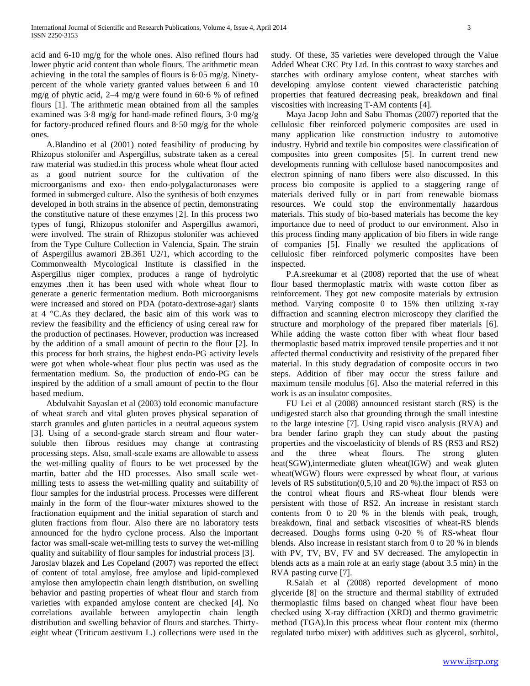acid and 6-10 mg/g for the whole ones. Also refined flours had lower phytic acid content than whole flours. The arithmetic mean achieving in the total the samples of flours is  $6.05 \text{ mg/g}$ . Ninetypercent of the whole variety granted values between 6 and 10 mg/g of phytic acid, 2–4 mg/g were found in 60·6 % of refined flours [1]. The arithmetic mean obtained from all the samples examined was 3·8 mg/g for hand-made refined flours, 3·0 mg/g for factory-produced refined flours and 8·50 mg/g for the whole ones.

 A.Blandino et al (2001) noted feasibility of producing by Rhizopus stolonifer and Aspergillus, substrate taken as a cereal raw material was studied.in this process whole wheat flour acted as a good nutrient source for the cultivation of the microorganisms and exo- then endo-polygalacturonases were formed in submerged culture. Also the synthesis of both enzymes developed in both strains in the absence of pectin, demonstrating the constitutive nature of these enzymes [2]. In this process two types of fungi, Rhizopus stolonifer and Aspergillus awamori, were involved. The strain of Rhizopus stolonifer was achieved from the Type Culture Collection in Valencia, Spain. The strain of Aspergillus awamori 2B.361 U2/1, which according to the Commonwealth Mycological Institute is classified in the Aspergillus niger complex, produces a range of hydrolytic enzymes .then it has been used with whole wheat flour to generate a generic fermentation medium. Both microorganisms were increased and stored on PDA (potato-dextrose-agar) slants at 4 °C.As they declared, the basic aim of this work was to review the feasibility and the efficiency of using cereal raw for the production of pectinases. However, production was increased by the addition of a small amount of pectin to the flour [2]. In this process for both strains, the highest endo-PG activity levels were got when whole-wheat flour plus pectin was used as the fermentation medium. So, the production of endo-PG can be inspired by the addition of a small amount of pectin to the flour based medium.

 Abdulvahit Sayaslan et al (2003) told economic manufacture of wheat starch and vital gluten proves physical separation of starch granules and gluten particles in a neutral aqueous system [3]. Using of a second-grade starch stream and flour watersoluble then fibrous residues may change at contrasting processing steps. Also, small-scale exams are allowable to assess the wet-milling quality of flours to be wet processed by the martin, batter abd the HD processes. Also small scale wetmilling tests to assess the wet-milling quality and suitability of flour samples for the industrial process. Processes were different mainly in the form of the flour-water mixtures showed to the fractionation equipment and the initial separation of starch and gluten fractions from flour. Also there are no laboratory tests announced for the hydro cyclone process. Also the important factor was small-scale wet-milling tests to survey the wet-milling quality and suitability of flour samples for industrial process [3]. Jaroslav blazek and Les Copeland (2007) was reported the effect of content of total amylose, free amylose and lipid-complexed amylose then amylopectin chain length distribution, on swelling behavior and pasting properties of wheat flour and starch from varieties with expanded amylose content are checked [4]. No correlations available between amylopectin chain length distribution and swelling behavior of flours and starches. Thirtyeight wheat (Triticum aestivum L.) collections were used in the

study. Of these, 35 varieties were developed through the Value Added Wheat CRC Pty Ltd. In this contrast to waxy starches and starches with ordinary amylose content, wheat starches with developing amylose content viewed characteristic patching properties that featured decreasing peak, breakdown and final viscosities with increasing T-AM contents [4].

 Maya Jacop John and Sabu Thomas (2007) reported that the cellulosic fiber reinforced polymeric composites are used in many application like construction industry to automotive industry. Hybrid and textile bio composites were classification of composites into green composites [5]. In current trend new developments running with cellulose based nanocomposites and electron spinning of nano fibers were also discussed. In this process bio composite is applied to a staggering range of materials derived fully or in part from renewable biomass resources. We could stop the environmentally hazardous materials. This study of bio-based materials has become the key importance due to need of product to our environment. Also in this process finding many application of bio fibers in wide range of companies [5]. Finally we resulted the applications of cellulosic fiber reinforced polymeric composites have been inspected.

 P.A.sreekumar et al (2008) reported that the use of wheat flour based thermoplastic matrix with waste cotton fiber as reinforcement. They got new composite materials by extrusion method. Varying composite 0 to 15% then utilizing x-ray diffraction and scanning electron microscopy they clarified the structure and morphology of the prepared fiber materials [6]. While adding the waste cotton fiber with wheat flour based thermoplastic based matrix improved tensile properties and it not affected thermal conductivity and resistivity of the prepared fiber material. In this study degradation of composite occurs in two steps. Addition of fiber may occur the stress failure and maximum tensile modulus [6]. Also the material referred in this work is as an insulator composites.

 FU Lei et al (2008) announced resistant starch (RS) is the undigested starch also that grounding through the small intestine to the large intestine [7]. Using rapid visco analysis (RVA) and bra bender farino graph they can study about the pasting properties and the viscoelasticity of blends of RS (RS3 and RS2) and the three wheat flours. The strong gluten heat(SGW),intermediate gluten wheat(IGW) and weak gluten wheat(WGW) flours were expressed by wheat flour, at various levels of RS substitution(0,5,10 and 20 %).the impact of RS3 on the control wheat flours and RS-wheat flour blends were persistent with those of RS2. An increase in resistant starch contents from 0 to 20 % in the blends with peak, trough, breakdown, final and setback viscosities of wheat-RS blends decreased. Doughs forms using 0-20 % of RS-wheat flour blends. Also increase in resistant starch from 0 to 20 % in blends with PV, TV, BV, FV and SV decreased. The amylopectin in blends acts as a main role at an early stage (about 3.5 min) in the RVA pasting curve [7].

 R.Saiah et al (2008) reported development of mono glyceride [8] on the structure and thermal stability of extruded thermoplastic films based on changed wheat flour have been checked using X-ray diffraction (XRD) and thermo gravimetric method (TGA).In this process wheat flour content mix (thermo regulated turbo mixer) with additives such as glycerol, sorbitol,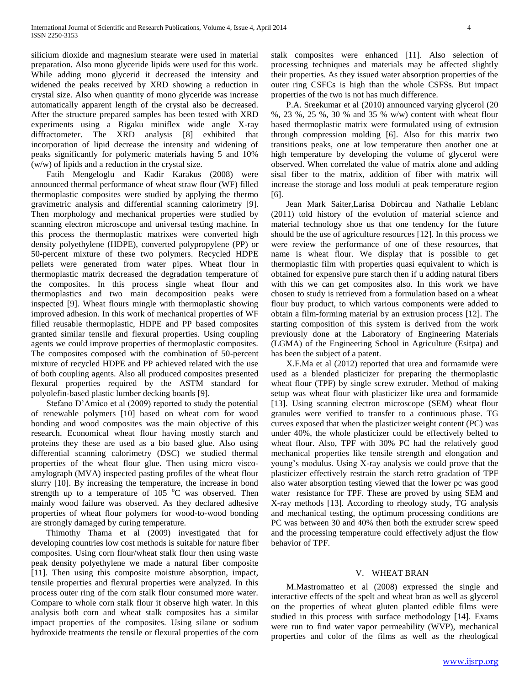silicium dioxide and magnesium stearate were used in material preparation. Also mono glyceride lipids were used for this work. While adding mono glycerid it decreased the intensity and widened the peaks received by XRD showing a reduction in crystal size. Also when quantity of mono glyceride was increase automatically apparent length of the crystal also be decreased. After the structure prepared samples has been tested with XRD experiments using a Rigaku miniflex wide angle X-ray diffractometer. The XRD analysis [8] exhibited that incorporation of lipid decrease the intensity and widening of peaks significantly for polymeric materials having 5 and 10% (w/w) of lipids and a reduction in the crystal size.

 Fatih Mengeloglu and Kadir Karakus (2008) were announced thermal performance of wheat straw flour (WF) filled thermoplastic composites were studied by applying the thermo gravimetric analysis and differential scanning calorimetry [9]. Then morphology and mechanical properties were studied by scanning electron microscope and universal testing machine. In this process the thermoplastic matrixes were converted high density polyethylene (HDPE), converted polypropylene (PP) or 50-percent mixture of these two polymers. Recycled HDPE pellets were generated from water pipes. Wheat flour in thermoplastic matrix decreased the degradation temperature of the composites. In this process single wheat flour and thermoplastics and two main decomposition peaks were inspected [9]. Wheat flours mingle with thermoplastic showing improved adhesion. In this work of mechanical properties of WF filled reusable thermoplastic, HDPE and PP based composites granted similar tensile and flexural properties. Using coupling agents we could improve properties of thermoplastic composites. The composites composed with the combination of 50-percent mixture of recycled HDPE and PP achieved related with the use of both coupling agents. Also all produced composites presented flexural properties required by the ASTM standard for polyolefin-based plastic lumber decking boards [9].

 Stefano D'Amico et al (2009) reported to study the potential of renewable polymers [10] based on wheat corn for wood bonding and wood composites was the main objective of this research. Economical wheat flour having mostly starch and proteins they these are used as a bio based glue. Also using differential scanning calorimetry (DSC) we studied thermal properties of the wheat flour glue. Then using micro viscoamylograph (MVA) inspected pasting profiles of the wheat flour slurry [10]. By increasing the temperature, the increase in bond strength up to a temperature of  $105\degree C$  was observed. Then mainly wood failure was observed. As they declared adhesive properties of wheat flour polymers for wood-to-wood bonding are strongly damaged by curing temperature.

 Thimothy Thama et al (2009) investigated that for developing countries low cost methods is suitable for nature fiber composites. Using corn flour/wheat stalk flour then using waste peak density polyethylene we made a natural fiber composite [11]. Then using this composite moisture absorption, impact, tensile properties and flexural properties were analyzed. In this process outer ring of the corn stalk flour consumed more water. Compare to whole corn stalk flour it observe high water. In this analysis both corn and wheat stalk composites has a similar impact properties of the composites. Using silane or sodium hydroxide treatments the tensile or flexural properties of the corn stalk composites were enhanced [11]. Also selection of processing techniques and materials may be affected slightly their properties. As they issued water absorption properties of the outer ring CSFCs is high than the whole CSFSs. But impact properties of the two is not has much difference.

 P.A. Sreekumar et al (2010) announced varying glycerol (20 %, 23 %, 25 %, 30 % and 35 % w/w) content with wheat flour based thermoplastic matrix were formulated using of extrusion through compression molding [6]. Also for this matrix two transitions peaks, one at low temperature then another one at high temperature by developing the volume of glycerol were observed. When correlated the value of matrix alone and adding sisal fiber to the matrix, addition of fiber with matrix will increase the storage and loss moduli at peak temperature region [6].

 Jean Mark Saiter,Larisa Dobircau and Nathalie Leblanc (2011) told history of the evolution of material science and material technology shoe us that one tendency for the future should be the use of agriculture resources [12]. In this process we were review the performance of one of these resources, that name is wheat flour. We display that is possible to get thermoplastic film with properties quasi equivalent to which is obtained for expensive pure starch then if u adding natural fibers with this we can get composites also. In this work we have chosen to study is retrieved from a formulation based on a wheat flour buy product, to which various components were added to obtain a film-forming material by an extrusion process [12]. The starting composition of this system is derived from the work previously done at the Laboratory of Engineering Materials (LGMA) of the Engineering School in Agriculture (Esitpa) and has been the subject of a patent.

 X.F.Ma et al (2012) reported that urea and formamide were used as a blended plasticizer for preparing the thermoplastic wheat flour (TPF) by single screw extruder. Method of making setup was wheat flour with plasticizer like urea and formamide [13]. Using scanning electron microscope (SEM) wheat flour granules were verified to transfer to a continuous phase. TG curves exposed that when the plasticizer weight content (PC) was under 40%, the whole plasticizer could be effectively belted to wheat flour. Also, TPF with 30% PC had the relatively good mechanical properties like tensile strength and elongation and young's modulus. Using X-ray analysis we could prove that the plasticizer effectively restrain the starch retro gradation of TPF also water absorption testing viewed that the lower pc was good water resistance for TPF. These are proved by using SEM and X-ray methods [13]. According to rheology study, TG analysis and mechanical testing, the optimum processing conditions are PC was between 30 and 40% then both the extruder screw speed and the processing temperature could effectively adjust the flow behavior of TPF.

#### V. WHEAT BRAN

 M.Mastromatteo et al (2008) expressed the single and interactive effects of the spelt and wheat bran as well as glycerol on the properties of wheat gluten planted edible films were studied in this process with surface methodology [14]. Exams were run to find water vapor permeability (WVP), mechanical properties and color of the films as well as the rheological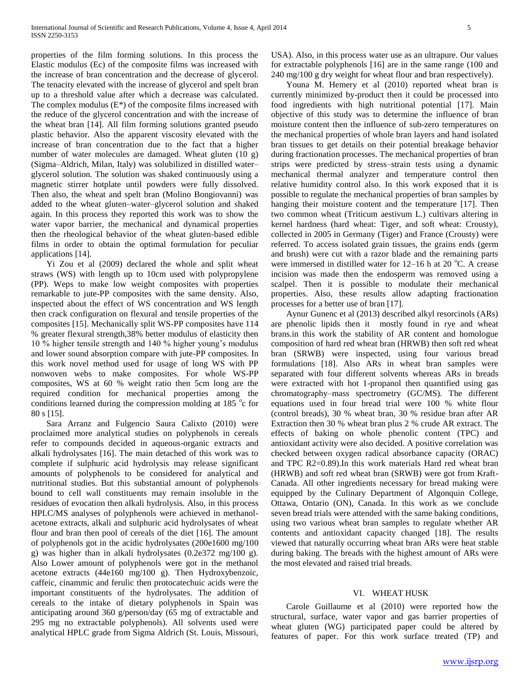properties of the film forming solutions. In this process the Elastic modulus (Ec) of the composite films was increased with the increase of bran concentration and the decrease of glycerol. The tenacity elevated with the increase of glycerol and spelt bran up to a threshold value after which a decrease was calculated. The complex modulus  $(E^*)$  of the composite films increased with the reduce of the glycerol concentration and with the increase of the wheat bran [14]. All film forming solutions granted pseudo plastic behavior. Also the apparent viscosity elevated with the increase of bran concentration due to the fact that a higher number of water molecules are damaged. Wheat gluten (10 g) (Sigma–Aldrich, Milan, Italy) was solubilized in distilled water– glycerol solution. The solution was shaked continuously using a magnetic stirrer hotplate until powders were fully dissolved. Then also, the wheat and spelt bran (Molino Bongiovanni) was added to the wheat gluten–water–glycerol solution and shaked again. In this process they reported this work was to show the water vapor barrier, the mechanical and dynamical properties then the rheological behavior of the wheat gluten-based edible films in order to obtain the optimal formulation for peculiar applications [14].

 Yi Zou et al (2009) declared the whole and split wheat straws (WS) with length up to 10cm used with polypropylene (PP). Weps to make low weight composites with properties remarkable to jute-PP composites with the same density. Also, inspected about the effect of WS concentration and WS length then crack configuration on flexural and tensile properties of the composites [15]. Mechanically split WS-PP composites have 114 % greater flexural strength,38% better modulus of elasticity then 10 % higher tensile strength and 140 % higher young's modulus and lower sound absorption compare with jute-PP composites. In this work novel method used for usage of long WS with PP nonwoven webs to make composites. For whole WS-PP composites, WS at 60 % weight ratio then 5cm long are the required condition for mechanical properties among the conditions learned during the compression molding at  $185^{\circ}$ c for 80 s [15].

 Sara Arranz and Fulgencio Saura Calixto (2010) were proclaimed more analytical studies on polyphenols in cereals refer to compounds decided in aqueous-organic extracts and alkali hydrolysates [16]. The main detached of this work was to complete if sulphuric acid hydrolysis may release significant amounts of polyphenols to be considered for analytical and nutritional studies. But this substantial amount of polyphenols bound to cell wall constituents may remain insoluble in the residues of evocation then alkali hydrolysis. Also, in this process HPLC/MS analyses of polyphenols were achieved in methanolacetone extracts, alkali and sulphuric acid hydrolysates of wheat flour and bran then pool of cereals of the diet [16]. The amount of polyphenols got in the acidic hydrolysates (200e1600 mg/100 g) was higher than in alkali hydrolysates (0.2e372 mg/100 g). Also Lower amount of polyphenols were got in the methanol acetone extracts (44e160 mg/100 g). Then Hydroxybenzoic, caffeic, cinammic and ferulic then protocatechuic acids were the important constituents of the hydrolysates. The addition of cereals to the intake of dietary polyphenols in Spain was anticipating around 360 g/person/day (65 mg of extractable and 295 mg no extractable polyphenols). All solvents used were analytical HPLC grade from Sigma Aldrich (St. Louis, Missouri, USA). Also, in this process water use as an ultrapure. Our values for extractable polyphenols [16] are in the same range (100 and 240 mg/100 g dry weight for wheat flour and bran respectively).

 Youna M. Hemery et al (2010) reported wheat bran is currently minimized by-product then it could be processed into food ingredients with high nutritional potential [17]. Main objective of this study was to determine the influence of bran moisture content then the influence of sub-zero temperatures on the mechanical properties of whole bran layers and hand isolated bran tissues to get details on their potential breakage behavior during fractionation processes. The mechanical properties of bran strips were predicted by stress–strain tests using a dynamic mechanical thermal analyzer and temperature control then relative humidity control also. In this work exposed that it is possible to regulate the mechanical properties of bran samples by hanging their moisture content and the temperature [17]. Then two common wheat (Triticum aestivum L.) cultivars altering in kernel hardness (hard wheat: Tiger, and soft wheat: Crousty), collected in 2005 in Germany (Tiger) and France (Crousty) were referred. To access isolated grain tissues, the grains ends (germ and brush) were cut with a razor blade and the remaining parts were immersed in distilled water for  $12-16$  h at  $20^{\circ}$ C. A crease incision was made then the endosperm was removed using a scalpel. Then it is possible to modulate their mechanical properties. Also, these results allow adapting fractionation processes for a better use of bran [17].

 Aynur Gunenc et al (2013) described alkyl resorcinols (ARs) are phenolic lipids then it mostly found in rye and wheat brans.in this work the stability of AR content and homologue composition of hard red wheat bran (HRWB) then soft red wheat bran (SRWB) were inspected, using four various bread formulations [18]. Also ARs in wheat bran samples were separated with four different solvents whereas ARs in breads were extracted with hot 1-propanol then quantified using gas chromatography–mass spectrometry (GC/MS). The different equations used in four bread trial were 100 % white flour (control breads), 30 % wheat bran, 30 % residue bran after AR Extraction then 30 % wheat bran plus 2 % crude AR extract. The effects of baking on whole phenolic content (TPC) and antioxidant activity were also decided. A positive correlation was checked between oxygen radical absorbance capacity (ORAC) and TPC R2=0.89).In this work materials Hard red wheat bran (HRWB) and soft red wheat bran (SRWB) were got from Kraft-Canada. All other ingredients necessary for bread making were equipped by the Culinary Department of Algonquin College, Ottawa, Ontario (ON), Canada. In this work as we conclude seven bread trials were attended with the same baking conditions, using two various wheat bran samples to regulate whether AR contents and antioxidant capacity changed [18]. The results viewed that naturally occurring wheat bran ARs were heat stable during baking. The breads with the highest amount of ARs were the most elevated and raised trial breads.

## VI. WHEAT HUSK

 Carole Guillaume et al (2010) were reported how the structural, surface, water vapor and gas barrier properties of wheat gluten (WG) participated paper could be altered by features of paper. For this work surface treated (TP) and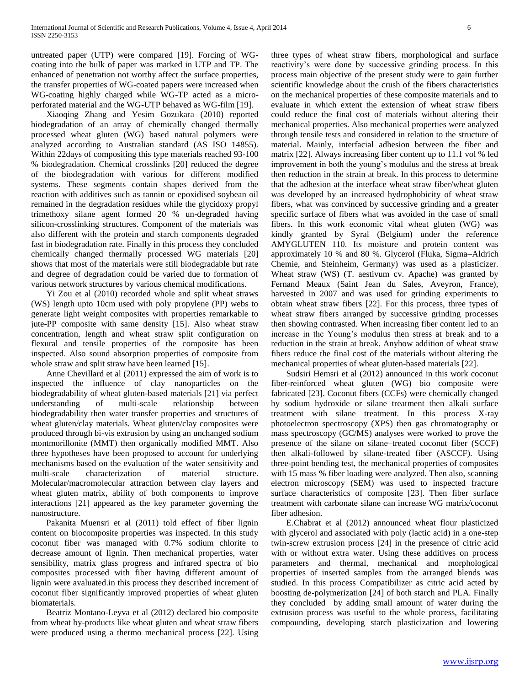untreated paper (UTP) were compared [19]. Forcing of WGcoating into the bulk of paper was marked in UTP and TP. The enhanced of penetration not worthy affect the surface properties, the transfer properties of WG-coated papers were increased when WG-coating highly charged while WG-TP acted as a microperforated material and the WG-UTP behaved as WG-film [19].

 Xiaoqing Zhang and Yesim Gozukara (2010) reported biodegradation of an array of chemically changed thermally processed wheat gluten (WG) based natural polymers were analyzed according to Australian standard (AS ISO 14855). Within 22days of compositing this type materials reached 93-100 % biodegradation. Chemical crosslinks [20] reduced the degree of the biodegradation with various for different modified systems. These segments contain shapes derived from the reaction with additives such as tannin or epoxidised soybean oil remained in the degradation residues while the glycidoxy propyl trimethoxy silane agent formed 20 % un-degraded having silicon-crosslinking structures. Component of the materials was also different with the protein and starch components degraded fast in biodegradation rate. Finally in this process they concluded chemically changed thermally processed WG materials [20] shows that most of the materials were still biodegradable but rate and degree of degradation could be varied due to formation of various network structures by various chemical modifications.

 Yi Zou et al (2010) recorded whole and split wheat straws (WS) length upto 10cm used with poly propylene (PP) webs to generate light weight composites with properties remarkable to jute-PP composite with same density [15]. Also wheat straw concentration, length and wheat straw split configuration on flexural and tensile properties of the composite has been inspected. Also sound absorption properties of composite from whole straw and split straw have been learned [15].

 Anne Chevillard et al (2011) expressed the aim of work is to inspected the influence of clay nanoparticles on the biodegradability of wheat gluten-based materials [21] via perfect understanding of multi-scale relationship between biodegradability then water transfer properties and structures of wheat gluten/clay materials. Wheat gluten/clay composites were produced through bi-vis extrusion by using an unchanged sodium montmorillonite (MMT) then organically modified MMT. Also three hypotheses have been proposed to account for underlying mechanisms based on the evaluation of the water sensitivity and multi-scale characterization of material structure. Molecular/macromolecular attraction between clay layers and wheat gluten matrix, ability of both components to improve interactions [21] appeared as the key parameter governing the nanostructure.

 Pakanita Muensri et al (2011) told effect of fiber lignin content on biocomposite properties was inspected. In this study coconut fiber was managed with 0.7% sodium chlorite to decrease amount of lignin. Then mechanical properties, water sensibility, matrix glass progress and infrared spectra of bio composites processed with fiber having different amount of lignin were avaluated.in this process they described increment of coconut fiber significantly improved properties of wheat gluten biomaterials.

 Beatriz Montano-Leyva et al (2012) declared bio composite from wheat by-products like wheat gluten and wheat straw fibers were produced using a thermo mechanical process [22]. Using three types of wheat straw fibers, morphological and surface reactivity's were done by successive grinding process. In this process main objective of the present study were to gain further scientific knowledge about the crush of the fibers characteristics on the mechanical properties of these composite materials and to evaluate in which extent the extension of wheat straw fibers could reduce the final cost of materials without altering their mechanical properties. Also mechanical properties were analyzed through tensile tests and considered in relation to the structure of material. Mainly, interfacial adhesion between the fiber and matrix [22]. Always increasing fiber content up to 11.1 vol % led improvement in both the young's modulus and the stress at break then reduction in the strain at break. In this process to determine that the adhesion at the interface wheat straw fiber/wheat gluten was developed by an increased hydrophobicity of wheat straw fibers, what was convinced by successive grinding and a greater specific surface of fibers what was avoided in the case of small fibers. In this work economic vital wheat gluten (WG) was kindly granted by Syral (Belgium) under the reference AMYGLUTEN 110. Its moisture and protein content was approximately 10 % and 80 %. Glycerol (Fluka, Sigma–Aldrich Chemie, and Steinheim, Germany) was used as a plasticizer. Wheat straw (WS) (T. aestivum cv. Apache) was granted by Fernand Meaux (Saint Jean du Sales, Aveyron, France), harvested in 2007 and was used for grinding experiments to obtain wheat straw fibers [22]. For this process, three types of wheat straw fibers arranged by successive grinding processes then showing contrasted. When increasing fiber content led to an increase in the Young's modulus then stress at break and to a reduction in the strain at break. Anyhow addition of wheat straw fibers reduce the final cost of the materials without altering the mechanical properties of wheat gluten-based materials [22].

 Sudsiri Hemsri et al (2012) announced in this work coconut fiber-reinforced wheat gluten (WG) bio composite were fabricated [23]. Coconut fibers (CCFs) were chemically changed by sodium hydroxide or silane treatment then alkali surface treatment with silane treatment. In this process X-ray photoelectron spectroscopy (XPS) then gas chromatography or mass spectroscopy (GC/MS) analyses were worked to prove the presence of the silane on silane–treated coconut fiber (SCCF) then alkali-followed by silane-treated fiber (ASCCF). Using three-point bending test, the mechanical properties of composites with 15 mass % fiber loading were analyzed. Then also, scanning electron microscopy (SEM) was used to inspected fracture surface characteristics of composite [23]. Then fiber surface treatment with carbonate silane can increase WG matrix/coconut fiber adhesion.

 E.Chabrat et al (2012) announced wheat flour plasticized with glycerol and associated with poly (lactic acid) in a one-step twin-screw extrusion process [24] in the presence of citric acid with or without extra water. Using these additives on process parameters and thermal, mechanical and morphological properties of inserted samples from the arranged blends was studied. In this process Compatibilizer as citric acid acted by boosting de-polymerization [24] of both starch and PLA. Finally they concluded by adding small amount of water during the extrusion process was useful to the whole process, facilitating compounding, developing starch plasticization and lowering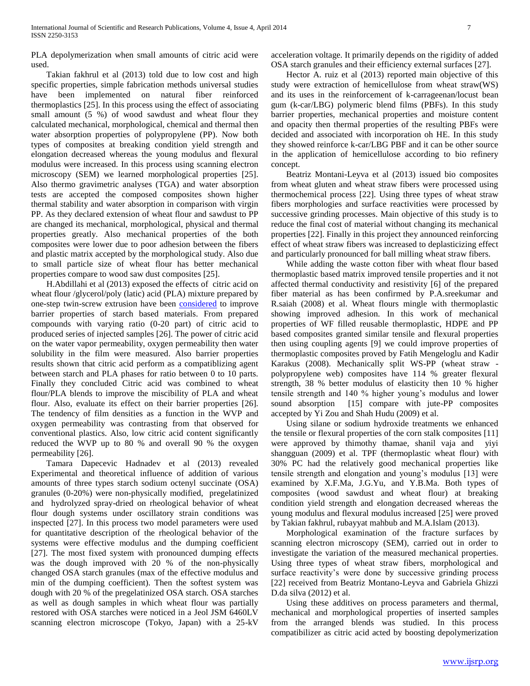PLA depolymerization when small amounts of citric acid were used.

 Takian fakhrul et al (2013) told due to low cost and high specific properties, simple fabrication methods universal studies have been implemented on natural fiber reinforced thermoplastics [25]. In this process using the effect of associating small amount (5 %) of wood sawdust and wheat flour they calculated mechanical, morphological, chemical and thermal then water absorption properties of polypropylene (PP). Now both types of composites at breaking condition yield strength and elongation decreased whereas the young modulus and flexural modulus were increased. In this process using scanning electron microscopy (SEM) we learned morphological properties [25]. Also thermo gravimetric analyses (TGA) and water absorption tests are accepted the composed composites shown higher thermal stability and water absorption in comparison with virgin PP. As they declared extension of wheat flour and sawdust to PP are changed its mechanical, morphological, physical and thermal properties greatly. Also mechanical properties of the both composites were lower due to poor adhesion between the fibers and plastic matrix accepted by the morphological study. Also due to small particle size of wheat flour has better mechanical properties compare to wood saw dust composites [25].

 H.Abdillahi et al (2013) exposed the effects of citric acid on wheat flour /glycerol/poly (latic) acid (PLA) mixture prepared by one-step twin-screw extrusion have been [considered](http://thesaurus.com/browse/considered) to improve barrier properties of starch based materials. From prepared compounds with varying ratio (0-20 part) of citric acid to produced series of injected samples [26]. The power of citric acid on the water vapor permeability, oxygen permeability then water solubility in the film were measured. Also barrier properties results shown that citric acid perform as a compatiblizing agent between starch and PLA phases for ratio between 0 to 10 parts. Finally they concluded Citric acid was combined to wheat flour/PLA blends to improve the miscibility of PLA and wheat flour. Also, evaluate its effect on their barrier properties [26]. The tendency of film densities as a function in the WVP and oxygen permeability was contrasting from that observed for conventional plastics. Also, low citric acid content significantly reduced the WVP up to 80 % and overall 90 % the oxygen permeability [26].

 Tamara Dapecevic Hadnadev et al (2013) revealed Experimental and theoretical influence of addition of various amounts of three types starch sodium octenyl succinate (OSA) granules (0-20%) were non-physically modified, pregelatinized and hydrolyzed spray-dried on rheological behavior of wheat flour dough systems under oscillatory strain conditions was inspected [27]. In this process two model parameters were used for quantitative description of the rheological behavior of the systems were effective modulus and the dumping coefficient [27]. The most fixed system with pronounced dumping effects was the dough improved with 20 % of the non-physically changed OSA starch granules (max of the effective modulus and min of the dumping coefficient). Then the softest system was dough with 20 % of the pregelatinized OSA starch. OSA starches as well as dough samples in which wheat flour was partially restored with OSA starches were noticed in a Jeol JSM 6460LV scanning electron microscope (Tokyo, Japan) with a 25-kV

acceleration voltage. It primarily depends on the rigidity of added OSA starch granules and their efficiency external surfaces [27].

 Hector A. ruiz et al (2013) reported main objective of this study were extraction of hemicellulose from wheat straw(WS) and its uses in the reinforcement of k-carrageenan/locust bean gum (k-car/LBG) polymeric blend films (PBFs). In this study barrier properties, mechanical properties and moisture content and opacity then thermal properties of the resulting PBFs were decided and associated with incorporation oh HE. In this study they showed reinforce k-car/LBG PBF and it can be other source in the application of hemicellulose according to bio refinery concept.

 Beatriz Montani-Leyva et al (2013) issued bio composites from wheat gluten and wheat straw fibers were processed using thermochemical process [22]. Using three types of wheat straw fibers morphologies and surface reactivities were processed by successive grinding processes. Main objective of this study is to reduce the final cost of material without changing its mechanical properties [22]. Finally in this project they announced reinforcing effect of wheat straw fibers was increased to deplasticizing effect and particularly pronounced for ball milling wheat straw fibers.

 While adding the waste cotton fiber with wheat flour based thermoplastic based matrix improved tensile properties and it not affected thermal conductivity and resistivity [6] of the prepared fiber material as has been confirmed by P.A.sreekumar and R.saiah (2008) et al. Wheat flours mingle with thermoplastic showing improved adhesion. In this work of mechanical properties of WF filled reusable thermoplastic, HDPE and PP based composites granted similar tensile and flexural properties then using coupling agents [9] we could improve properties of thermoplastic composites proved by Fatih Mengeloglu and Kadir Karakus (2008). Mechanically split WS-PP (wheat straw polypropylene web) composites have 114 % greater flexural strength, 38 % better modulus of elasticity then 10 % higher tensile strength and 140 % higher young's modulus and lower sound absorption [15] compare with jute-PP composites accepted by Yi Zou and Shah Hudu (2009) et al.

 Using silane or sodium hydroxide treatments we enhanced the tensile or flexural properties of the corn stalk composites [11] were approved by thimothy thamae, shanil vaja and yiyi shangguan (2009) et al. TPF (thermoplastic wheat flour) with 30% PC had the relatively good mechanical properties like tensile strength and elongation and young's modulus [13] were examined by X.F.Ma, J.G.Yu, and Y.B.Ma. Both types of composites (wood sawdust and wheat flour) at breaking condition yield strength and elongation decreased whereas the young modulus and flexural modulus increased [25] were proved by Takian fakhrul, rubayyat mahbub and M.A.Islam (2013).

 Morphological examination of the fracture surfaces by scanning electron microscopy (SEM), carried out in order to investigate the variation of the measured mechanical properties. Using three types of wheat straw fibers, morphological and surface reactivity's were done by successive grinding process [22] received from Beatriz Montano-Leyva and Gabriela Ghizzi D.da silva (2012) et al.

 Using these additives on process parameters and thermal, mechanical and morphological properties of inserted samples from the arranged blends was studied. In this process compatibilizer as citric acid acted by boosting depolymerization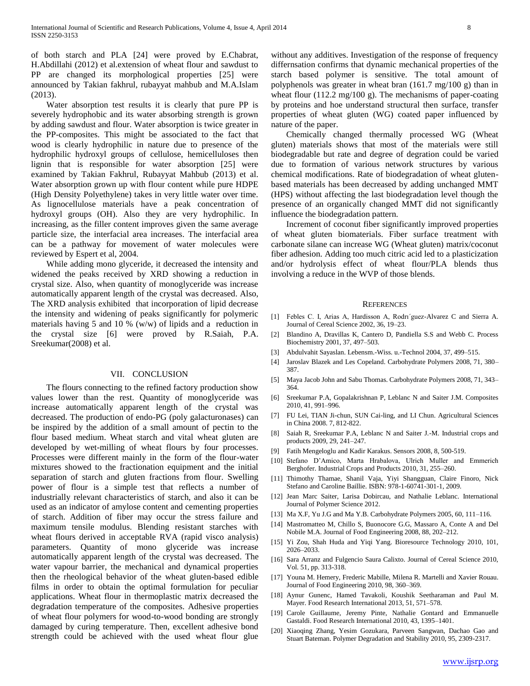of both starch and PLA [24] were proved by E.Chabrat, H.Abdillahi (2012) et al.extension of wheat flour and sawdust to PP are changed its morphological properties [25] were announced by Takian fakhrul, rubayyat mahbub and M.A.Islam (2013).

 Water absorption test results it is clearly that pure PP is severely hydrophobic and its water absorbing strength is grown by adding sawdust and flour. Water absorption is twice greater in the PP-composites. This might be associated to the fact that wood is clearly hydrophilic in nature due to presence of the hydrophilic hydroxyl groups of cellulose, hemicelluloses then lignin that is responsible for water absorption [25] were examined by Takian Fakhrul, Rubayyat Mahbub (2013) et al. Water absorption grown up with flour content while pure HDPE (High Density Polyethylene) takes in very little water over time. As lignocellulose materials have a peak concentration of hydroxyl groups (OH). Also they are very hydrophilic. In increasing, as the filler content improves given the same average particle size, the interfacial area increases. The interfacial area can be a pathway for movement of water molecules were reviewed by Espert et al, 2004.

 While adding mono glyceride, it decreased the intensity and widened the peaks received by XRD showing a reduction in crystal size. Also, when quantity of monoglyceride was increase automatically apparent length of the crystal was decreased. Also, The XRD analysis exhibited that incorporation of lipid decrease the intensity and widening of peaks significantly for polymeric materials having 5 and 10 % (w/w) of lipids and a reduction in the crystal size [6] were proved by R.Saiah, P.A. Sreekumar(2008) et al.

## VII. CONCLUSION

 The flours connecting to the refined factory production show values lower than the rest. Quantity of monoglyceride was increase automatically apparent length of the crystal was decreased. The production of endo-PG (poly galacturonases) can be inspired by the addition of a small amount of pectin to the flour based medium. Wheat starch and vital wheat gluten are developed by wet-milling of wheat flours by four processes. Processes were different mainly in the form of the flour-water mixtures showed to the fractionation equipment and the initial separation of starch and gluten fractions from flour. Swelling power of flour is a simple test that reflects a number of industrially relevant characteristics of starch, and also it can be used as an indicator of amylose content and cementing properties of starch. Addition of fiber may occur the stress failure and maximum tensile modulus. Blending resistant starches with wheat flours derived in acceptable RVA (rapid visco analysis) parameters. Quantity of mono glyceride was increase automatically apparent length of the crystal was decreased. The water vapour barrier, the mechanical and dynamical properties then the rheological behavior of the wheat gluten-based edible films in order to obtain the optimal formulation for peculiar applications. Wheat flour in thermoplastic matrix decreased the degradation temperature of the composites. Adhesive properties of wheat flour polymers for wood-to-wood bonding are strongly damaged by curing temperature. Then, excellent adhesive bond strength could be achieved with the used wheat flour glue

without any additives. Investigation of the response of frequency differnsation confirms that dynamic mechanical properties of the starch based polymer is sensitive. The total amount of polyphenols was greater in wheat bran (161.7 mg/100 g) than in wheat flour (112.2 mg/100 g). The mechanisms of paper-coating by proteins and hoe understand structural then surface, transfer properties of wheat gluten (WG) coated paper influenced by nature of the paper.

 Chemically changed thermally processed WG (Wheat gluten) materials shows that most of the materials were still biodegradable but rate and degree of degration could be varied due to formation of various network structures by various chemical modifications. Rate of biodegradation of wheat glutenbased materials has been decreased by adding unchanged MMT (HPS) without affecting the last biodegradation level though the presence of an organically changed MMT did not significantly influence the biodegradation pattern.

 Increment of coconut fiber significantly improved properties of wheat gluten biomaterials. Fiber surface treatment with carbonate silane can increase WG (Wheat gluten) matrix/coconut fiber adhesion. Adding too much citric acid led to a plasticization and/or hydrolysis effect of wheat flour/PLA blends thus involving a reduce in the WVP of those blends.

#### **REFERENCES**

- [1] Febles C. I, Arias A, Hardisson A, Rodrı´guez-Alvarez C and Sierra A. Journal of Cereal Science 2002, 36, 19–23.
- [2] Blandino A, Dravillas K, Cantero D, Pandiella S.S and Webb C. Process Biochemistry 2001, 37, 497–503.
- [3] Abdulvahit Sayaslan. Lebensm.-Wiss. u.-Technol 2004, 37, 499–515.
- [4] Jaroslav Blazek and Les Copeland. Carbohydrate Polymers 2008, 71, 380– 387.
- [5] Maya Jacob John and Sabu Thomas. Carbohydrate Polymers 2008, 71, 343– 364.
- [6] Sreekumar P.A, Gopalakrishnan P, Leblanc N and Saiter J.M. Composites 2010, 41, 991–996.
- [7] FU Lei, TIAN Ji-chun, SUN Cai-ling, and LI Chun. Agricultural Sciences in China 2008. 7, 812-822.
- [8] Saiah R, Sreekumar P.A, Leblanc N and Saiter J.-M. Industrial crops and products 2009, 29, 241–247.
- [9] Fatih Mengeloglu and Kadir Karakus. Sensors 2008, 8, 500-519.
- [10] Stefano D'Amico, Marta Hrabalova, Ulrich Muller and Emmerich Berghofer. Industrial Crops and Products 2010, 31, 255–260.
- [11] Thimothy Thamae, Shanil Vaja, Yiyi Shangguan, Claire Finoro, Nick Stefano and Caroline Baillie. ISBN: 978-1-60741-301-1, 2009.
- [12] Jean Marc Saiter, Larisa Dobircau, and Nathalie Leblanc. International Journal of Polymer Science 2012.
- [13] Ma X.F, Yu J.G and Ma Y.B. Carbohydrate Polymers 2005, 60, 111–116.
- [14] Mastromatteo M, Chillo S, Buonocore G.G, Massaro A, Conte A and Del Nobile M.A. Journal of Food Engineering 2008, 88, 202–212.
- [15] Yi Zou, Shah Huda and Yiqi Yang. Bioresource Technology 2010, 101, 2026–2033.
- [16] Sara Arranz and Fulgencio Saura Calixto. Journal of Cereal Science 2010, Vol. 51, pp. 313-318.
- [17] Youna M. Hemery, Frederic Mabille, Milena R. Martelli and Xavier Rouau. Journal of Food Engineering 2010, 98, 360–369.
- [18] Aynur Gunenc, Hamed Tavakoli, Koushik Seetharaman and Paul M. Mayer. Food Research International 2013, 51, 571–578.
- [19] Carole Guillaume, Jeremy Pinte, Nathalie Gontard and Emmanuelle Gastaldi. Food Research International 2010, 43, 1395–1401.
- [20] Xiaoqing Zhang, Yesim Gozukara, Parveen Sangwan, Dachao Gao and Stuart Bateman. Polymer Degradation and Stability 2010, 95, 2309-2317.